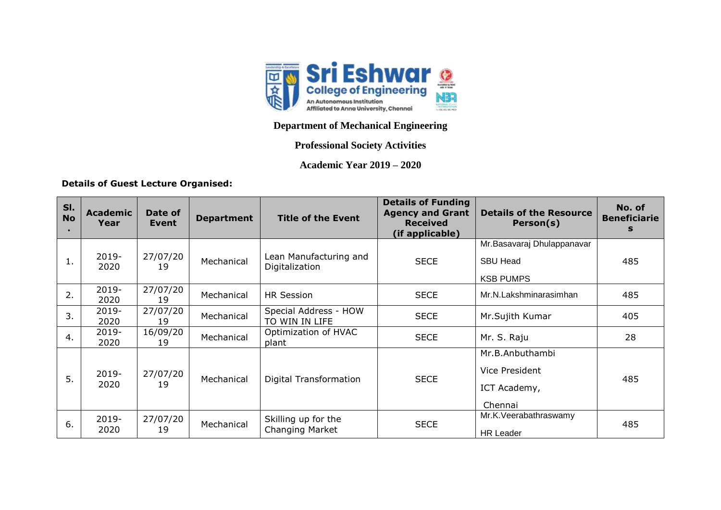

## **Department of Mechanical Engineering**

## **Professional Society Activities**

**Academic Year 2019 – 2020**

## **Details of Guest Lecture Organised:**

| SI.<br><b>No</b> | <b>Academic</b><br>Year | Date of<br>Event | <b>Department</b> | <b>Title of the Event</b>                | <b>Details of Funding</b><br><b>Agency and Grant</b><br><b>Received</b><br>(if applicable) | <b>Details of the Resource</b><br>Person(s)                       | No. of<br><b>Beneficiarie</b><br>s |
|------------------|-------------------------|------------------|-------------------|------------------------------------------|--------------------------------------------------------------------------------------------|-------------------------------------------------------------------|------------------------------------|
| 1.               | 2019-<br>2020           | 27/07/20<br>19   | Mechanical        | Lean Manufacturing and<br>Digitalization | <b>SECE</b>                                                                                | Mr.Basavaraj Dhulappanavar<br><b>SBU Head</b><br><b>KSB PUMPS</b> | 485                                |
| 2.               | 2019-<br>2020           | 27/07/20<br>19   | Mechanical        | <b>HR Session</b>                        | <b>SECE</b>                                                                                | Mr.N.Lakshminarasimhan                                            | 485                                |
| 3.               | 2019-<br>2020           | 27/07/20<br>19   | Mechanical        | Special Address - HOW<br>TO WIN IN LIFE  | <b>SECE</b>                                                                                | Mr.Sujith Kumar                                                   | 405                                |
| 4.               | 2019-<br>2020           | 16/09/20<br>19   | Mechanical        | Optimization of HVAC<br>plant            | <b>SECE</b>                                                                                | Mr. S. Raju                                                       | 28                                 |
| 5.               | $2019 -$<br>2020        | 27/07/20<br>19   | Mechanical        | Digital Transformation                   | <b>SECE</b>                                                                                | Mr.B.Anbuthambi<br>Vice President<br>ICT Academy,<br>Chennai      | 485                                |
| 6.               | $2019 -$<br>2020        | 27/07/20<br>19   | Mechanical        | Skilling up for the<br>Changing Market   | <b>SECE</b>                                                                                | Mr.K. Veerabathraswamy<br>HR Leader                               | 485                                |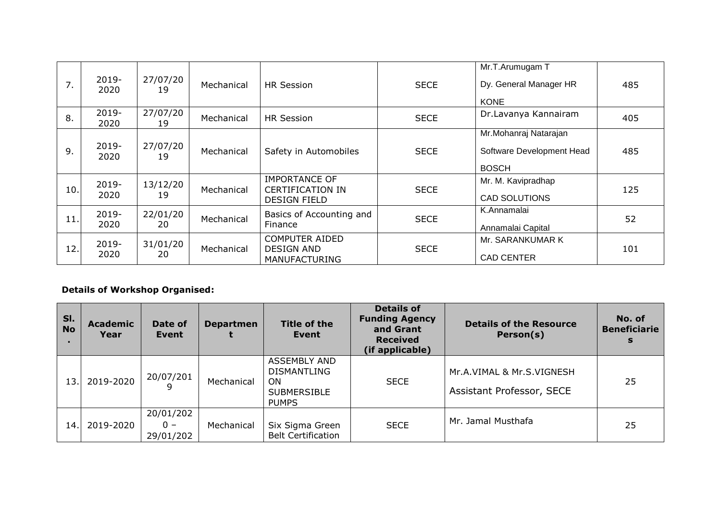| 7.  | 2019-<br>2020    | 27/07/20<br>19 | Mechanical | <b>HR Session</b>                                                      | <b>SECE</b> | Mr.T.Arumugam T<br>Dy. General Manager HR<br><b>KONE</b>           | 485 |
|-----|------------------|----------------|------------|------------------------------------------------------------------------|-------------|--------------------------------------------------------------------|-----|
| 8.  | $2019 -$<br>2020 | 27/07/20<br>19 | Mechanical | HR Session                                                             | <b>SECE</b> | Dr.Lavanya Kannairam                                               | 405 |
| 9.  | $2019 -$<br>2020 | 27/07/20<br>19 | Mechanical | Safety in Automobiles                                                  | <b>SECE</b> | Mr.Mohanraj Natarajan<br>Software Development Head<br><b>BOSCH</b> | 485 |
| 10. | $2019 -$<br>2020 | 13/12/20<br>19 | Mechanical | <b>IMPORTANCE OF</b><br><b>CERTIFICATION IN</b><br><b>DESIGN FIELD</b> | <b>SECE</b> | Mr. M. Kavipradhap<br><b>CAD SOLUTIONS</b>                         | 125 |
| 11. | $2019 -$<br>2020 | 22/01/20<br>20 | Mechanical | Basics of Accounting and<br>Finance                                    | <b>SECE</b> | K.Annamalai<br>Annamalai Capital                                   | 52  |
| 12. | 2019-<br>2020    | 31/01/20<br>20 | Mechanical | <b>COMPUTER AIDED</b><br><b>DESIGN AND</b><br><b>MANUFACTURING</b>     | <b>SECE</b> | Mr. SARANKUMAR K<br><b>CAD CENTER</b>                              | 101 |

## **Details of Workshop Organised:**

| SI.<br><b>No</b> | <b>Academic</b><br>Year | Date of<br>Event                | <b>Departmen</b> | <b>Title of the</b><br>Event                                                                 | <b>Details of</b><br><b>Funding Agency</b><br>and Grant<br><b>Received</b><br>(if applicable) | <b>Details of the Resource</b><br>Person(s)            | No. of<br><b>Beneficiarie</b><br>S |
|------------------|-------------------------|---------------------------------|------------------|----------------------------------------------------------------------------------------------|-----------------------------------------------------------------------------------------------|--------------------------------------------------------|------------------------------------|
| 13.              | 2019-2020               | 20/07/201                       | Mechanical       | <b>ASSEMBLY AND</b><br><b>DISMANTLING</b><br><b>ON</b><br><b>SUBMERSIBLE</b><br><b>PUMPS</b> | <b>SECE</b>                                                                                   | Mr.A.VIMAL & Mr.S.VIGNESH<br>Assistant Professor, SECE | 25                                 |
| 14.              | 2019-2020               | 20/01/202<br>$0 -$<br>29/01/202 | Mechanical       | Six Sigma Green<br><b>Belt Certification</b>                                                 | <b>SECE</b>                                                                                   | Mr. Jamal Musthafa                                     | 25                                 |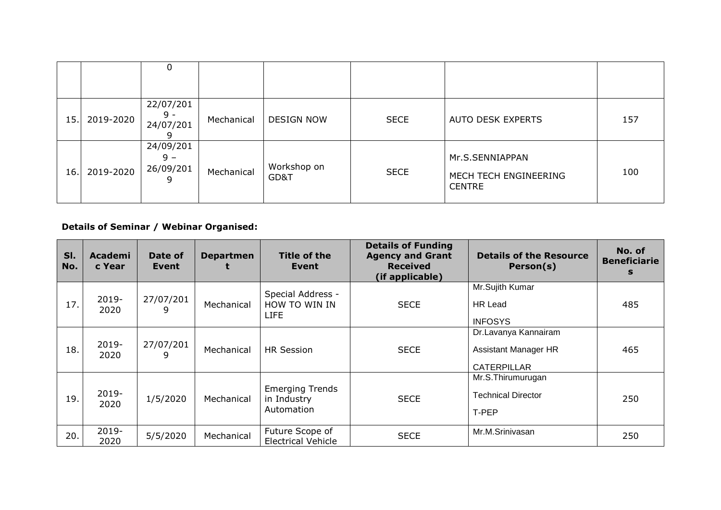|     |           | 0                                    |            |                     |             |                                                           |     |
|-----|-----------|--------------------------------------|------------|---------------------|-------------|-----------------------------------------------------------|-----|
| 15. | 2019-2020 | 22/07/201<br>$9 -$<br>24/07/201      | Mechanical | <b>DESIGN NOW</b>   | <b>SECE</b> | AUTO DESK EXPERTS                                         | 157 |
| 16. | 2019-2020 | 24/09/201<br>$9 -$<br>26/09/201<br>q | Mechanical | Workshop on<br>GD&T | <b>SECE</b> | Mr.S.SENNIAPPAN<br>MECH TECH ENGINEERING<br><b>CENTRE</b> | 100 |

**Details of Seminar / Webinar Organised:**

| SI.<br>No. | <b>Academi</b><br>c Year | Date of<br>Event | <b>Departmen</b> | Title of the<br>Event                               | <b>Details of Funding</b><br><b>Agency and Grant</b><br><b>Received</b><br>(if applicable) | <b>Details of the Resource</b><br>Person(s)                               | No. of<br><b>Beneficiarie</b><br>s |
|------------|--------------------------|------------------|------------------|-----------------------------------------------------|--------------------------------------------------------------------------------------------|---------------------------------------------------------------------------|------------------------------------|
| 17.        | 2019-<br>2020            | 27/07/201<br>9   | Mechanical       | Special Address -<br>HOW TO WIN IN<br><b>LIFE</b>   | <b>SECE</b>                                                                                | Mr.Sujith Kumar<br><b>HR Lead</b><br><b>INFOSYS</b>                       | 485                                |
| 18.        | $2019 -$<br>2020         | 27/07/201<br>9   | Mechanical       | <b>HR Session</b>                                   | <b>SECE</b>                                                                                | Dr.Lavanya Kannairam<br><b>Assistant Manager HR</b><br><b>CATERPILLAR</b> | 465                                |
| 19.        | $2019 -$<br>2020         | 1/5/2020         | Mechanical       | <b>Emerging Trends</b><br>in Industry<br>Automation | <b>SECE</b>                                                                                | Mr.S.Thirumurugan<br><b>Technical Director</b><br>T-PEP                   | 250                                |
| 20.        | $2019 -$<br>2020         | 5/5/2020         | Mechanical       | Future Scope of<br><b>Electrical Vehicle</b>        | <b>SECE</b>                                                                                | Mr.M.Srinivasan                                                           | 250                                |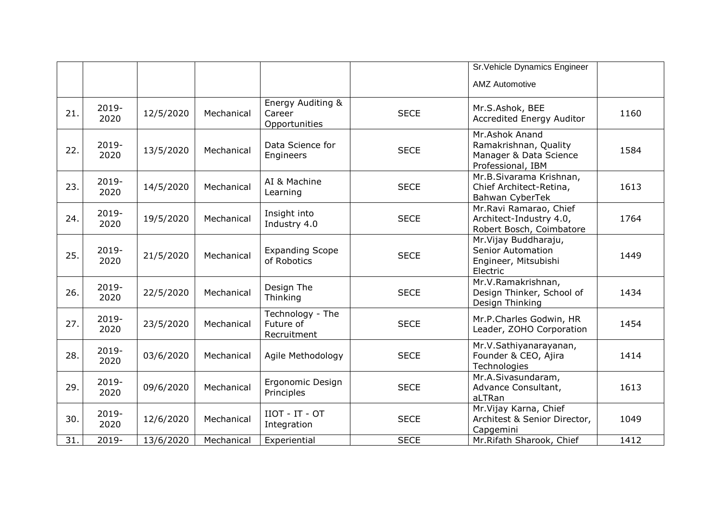|     |                  |           |            |                                              |             | Sr. Vehicle Dynamics Engineer                                                          |      |
|-----|------------------|-----------|------------|----------------------------------------------|-------------|----------------------------------------------------------------------------------------|------|
|     |                  |           |            |                                              |             | <b>AMZ Automotive</b>                                                                  |      |
| 21. | $2019 -$<br>2020 | 12/5/2020 | Mechanical | Energy Auditing &<br>Career<br>Opportunities | <b>SECE</b> | Mr.S.Ashok, BEE<br><b>Accredited Energy Auditor</b>                                    | 1160 |
| 22. | 2019-<br>2020    | 13/5/2020 | Mechanical | Data Science for<br>Engineers                | <b>SECE</b> | Mr.Ashok Anand<br>Ramakrishnan, Quality<br>Manager & Data Science<br>Professional, IBM | 1584 |
| 23. | $2019 -$<br>2020 | 14/5/2020 | Mechanical | AI & Machine<br>Learning                     | <b>SECE</b> | Mr.B.Sivarama Krishnan,<br>Chief Architect-Retina,<br>Bahwan CyberTek                  | 1613 |
| 24. | 2019-<br>2020    | 19/5/2020 | Mechanical | Insight into<br>Industry 4.0                 | <b>SECE</b> | Mr.Ravi Ramarao, Chief<br>Architect-Industry 4.0,<br>Robert Bosch, Coimbatore          | 1764 |
| 25. | 2019-<br>2020    | 21/5/2020 | Mechanical | <b>Expanding Scope</b><br>of Robotics        | <b>SECE</b> | Mr. Vijay Buddharaju,<br><b>Senior Automation</b><br>Engineer, Mitsubishi<br>Electric  | 1449 |
| 26. | $2019 -$<br>2020 | 22/5/2020 | Mechanical | Design The<br>Thinking                       | <b>SECE</b> | Mr.V.Ramakrishnan,<br>Design Thinker, School of<br>Design Thinking                     | 1434 |
| 27. | 2019-<br>2020    | 23/5/2020 | Mechanical | Technology - The<br>Future of<br>Recruitment | <b>SECE</b> | Mr.P.Charles Godwin, HR<br>Leader, ZOHO Corporation                                    | 1454 |
| 28. | 2019-<br>2020    | 03/6/2020 | Mechanical | Agile Methodology                            | <b>SECE</b> | Mr.V.Sathiyanarayanan,<br>Founder & CEO, Ajira<br>Technologies                         | 1414 |
| 29. | $2019 -$<br>2020 | 09/6/2020 | Mechanical | Ergonomic Design<br>Principles               | <b>SECE</b> | Mr.A.Sivasundaram,<br>Advance Consultant,<br>aLTRan                                    | 1613 |
| 30. | 2019-<br>2020    | 12/6/2020 | Mechanical | $IO - IT - OT$<br>Integration                | <b>SECE</b> | Mr. Vijay Karna, Chief<br>Architest & Senior Director,<br>Capgemini                    | 1049 |
| 31. | 2019-            | 13/6/2020 | Mechanical | Experiential                                 | <b>SECE</b> | Mr.Rifath Sharook, Chief                                                               | 1412 |